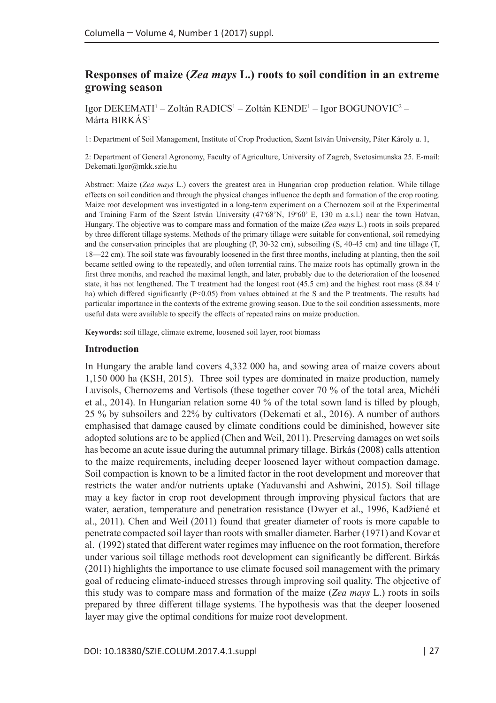# **Responses of maize (***Zea mays* **L.) roots to soil condition in an extreme growing season**

Igor DEKEMATI' – Zoltán RADICS' – Zoltán KENDE' – Igor BOGUNOVIC<sup>2</sup> – Márta BIRKÁS<sup>1</sup>

1: Department of Soil Management, Institute of Crop Production, Szent István University, Páter Károly u. 1,

2: Department of General Agronomy, Faculty of Agriculture, University of Zagreb, Svetosimunska 25. E-mail: [Dekemati.Igor@mkk.szie.hu](mailto:Dekemati.Igor@mkk.szie.hu)

Abstract: Maize (*Zea mays* L.) covers the greatest area in Hungarian crop production relation. While tillage effects on soil condition and through the physical changes influence the depth and formation of the crop rooting. Maize root development was investigated in a long-term experiment on a Chernozem soil at the Experimental and Training Farm of the Szent István University (47°68'N, 19°60' E, 130 m a.s.l.) near the town Hatvan, Hungary. The objective was to compare mass and formation of the maize (*Zea mays* L.) roots in soils prepared by three different tillage systems. Methods of the primary tillage were suitable for conventional, soil remedying and the conservation principles that are ploughing (P, 30-32 cm), subsoiling (S, 40-45 cm) and tine tillage (T, 18—22 cm). The soil state was favourably loosened in the first three months, including at planting, then the soil became settled owing to the repeatedly, and often torrential rains. The maize roots has optimally grown in the first three months, and reached the maximal length, and later, probably due to the deterioration of the loosened state, it has not lengthened. The T treatment had the longest root (45.5 cm) and the highest root mass (8.84 t/ ha) which differed significantly  $(P<0.05)$  from values obtained at the S and the P treatments. The results had particular importance in the contexts of the extreme growing season. Due to the soil condition assessments, more useful data were available to specify the effects of repeated rains on maize production.

**Keywords:** soil tillage, climate extreme, loosened soil layer, root biomass

#### **Introduction**

In Hungary the arable land covers 4,332 000 ha, and sowing area of maize covers about 1,150 000 ha (KSH, 2015). Three soil types are dominated in maize production, namely Luvisols, Chernozems and Vertisols (these together cover 70 % of the total area, Michéli et al., 2014). In Hungarian relation some 40 % of the total sown land is tilled by plough, 25 % by subsoilers and 22% by cultivators (Dekemati et al., 2016). A number of authors emphasised that damage caused by climate conditions could be diminished, however site adopted solutions are to be applied (Chen and Weil, 2011). Preserving damages on wet soils has become an acute issue during the autumnal primary tillage. Birkás (2008) calls attention to the maize requirements, including deeper loosened layer without compaction damage. Soil compaction is known to be a limited factor in the root development and moreover that restricts the water and/or nutrients uptake (Yaduvanshi and Ashwini, 2015). Soil tillage may a key factor in crop root development through improving physical factors that are water, aeration, temperature and penetration resistance (Dwyer et al., 1996, Kadžiené et al., 2011). Chen and Weil (2011) found that greater diameter of roots is more capable to penetrate compacted soil layer than roots with smaller diameter. Barber (1971) and Kovar et al. (1992) stated that different water regimes may influence on the root formation, therefore under various soil tillage methods root development can significantly be different. Birkás (2011) highlights the importance to use climate focused soil management with the primary goal of reducing climate-induced stresses through improving soil quality. The objective of this study was to compare mass and formation of the maize (*Zea mays* L.) roots in soils prepared by three different tillage systems. The hypothesis was that the deeper loosened layer may give the optimal conditions for maize root development.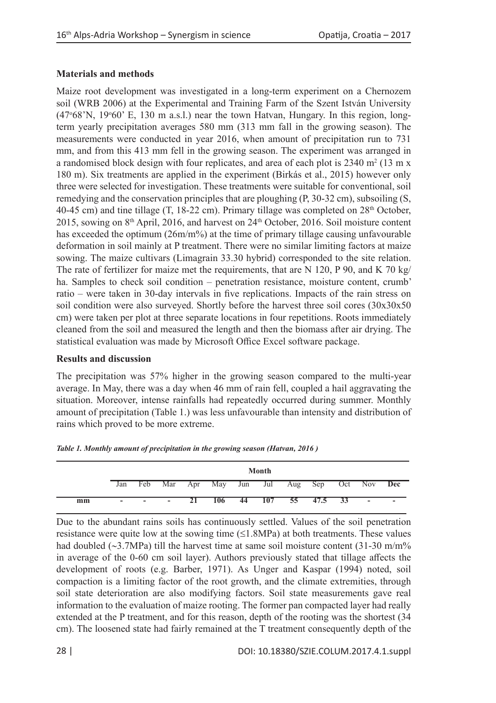# **Materials and methods**

Maize root development was investigated in a long-term experiment on a Chernozem soil (WRB 2006) at the Experimental and Training Farm of the Szent István University (47°68'N, 19°60' E, 130 m a.s.l.) near the town Hatvan, Hungary. In this region, longterm yearly precipitation averages 580 mm (313 mm fall in the growing season). The measurements were conducted in year 2016, when amount of precipitation run to 731 mm, and from this 413 mm fell in the growing season. The experiment was arranged in a randomised block design with four replicates, and area of each plot is  $2340 \text{ m}^2 (13 \text{ m} \text{ x})$ 180 m). Six treatments are applied in the experiment (Birkás et al., 2015) however only three were selected for investigation. These treatments were suitable for conventional, soil remedying and the conservation principles that are ploughing (P, 30-32 cm), subsoiling (S, 40-45 cm) and tine tillage (T, 18-22 cm). Primary tillage was completed on  $28<sup>th</sup>$  October, 2015, sowing on  $8<sup>th</sup>$  April, 2016, and harvest on  $24<sup>th</sup>$  October, 2016. Soil moisture content has exceeded the optimum  $(26m/m%)$  at the time of primary tillage causing unfavourable deformation in soil mainly at P treatment. There were no similar limiting factors at maize sowing. The maize cultivars (Limagrain 33.30 hybrid) corresponded to the site relation. The rate of fertilizer for maize met the requirements, that are N 120, P 90, and K 70 kg/ ha. Samples to check soil condition – penetration resistance, moisture content, crumb' ratio – were taken in 30-day intervals in five replications. Impacts of the rain stress on soil condition were also surveyed. Shortly before the harvest three soil cores (30x30x50 cm) were taken per plot at three separate locations in four repetitions. Roots immediately cleaned from the soil and measured the length and then the biomass after air drying. The statistical evaluation was made by Microsoft Office Excel software package.

## **Results and discussion**

The precipitation was 57% higher in the growing season compared to the multi-year average. In May, there was a day when 46 mm of rain fell, coupled a hail aggravating the situation. Moreover, intense rainfalls had repeatedly occurred during summer. Monthly amount of precipitation (Table 1.) was less unfavourable than intensity and distribution of rains which proved to be more extreme.

|    |     | Month  |        |    |                                         |  |                    |            |  |  |                          |                          |
|----|-----|--------|--------|----|-----------------------------------------|--|--------------------|------------|--|--|--------------------------|--------------------------|
|    | Jan | Feb    |        |    | Mar Apr May Jun Jul Aug Sep Oct Nov Dec |  |                    |            |  |  |                          |                          |
| mm | ۰.  | $\sim$ | $\sim$ | 21 |                                         |  | $106 \t 44 \t 107$ | 55 47.5 33 |  |  | $\overline{\phantom{a}}$ | $\overline{\phantom{a}}$ |

| Table 1. Monthly amount of precipitation in the growing season (Hatvan, 2016) |  |  |  |
|-------------------------------------------------------------------------------|--|--|--|
|-------------------------------------------------------------------------------|--|--|--|

Due to the abundant rains soils has continuously settled. Values of the soil penetration resistance were quite low at the sowing time  $(\leq 1.8 \text{MPa})$  at both treatments. These values had doubled (∼3.7MPa) till the harvest time at same soil moisture content (31-30 m/m% in average of the 0-60 cm soil layer). Authors previously stated that tillage affects the development of roots (e.g. Barber, 1971). As Unger and Kaspar (1994) noted, soil compaction is a limiting factor of the root growth, and the climate extremities, through soil state deterioration are also modifying factors. Soil state measurements gave real information to the evaluation of maize rooting. The former pan compacted layer had really extended at the P treatment, and for this reason, depth of the rooting was the shortest (34 cm). The loosened state had fairly remained at the T treatment consequently depth of the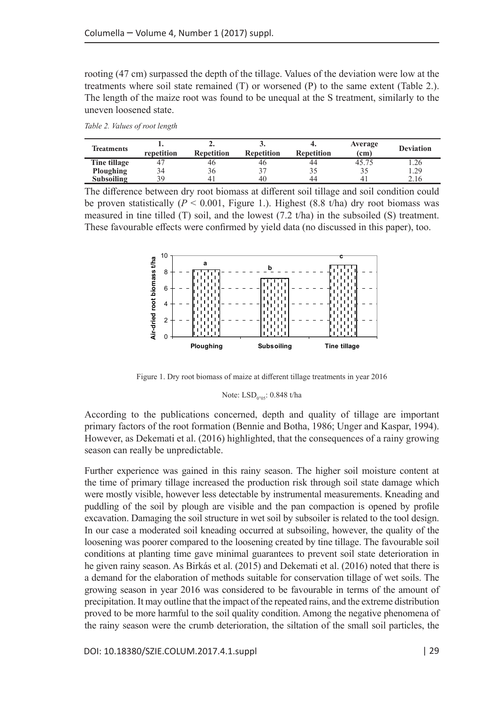rooting (47 cm) surpassed the depth of the tillage. Values of the deviation were low at the treatments where soil state remained  $(T)$  or worsened  $(P)$  to the same extent  $(Table 2)$ . The length of the maize root was found to be unequal at the S treatment, similarly to the uneven loosened state.

*Table 2. Values of root length*

| <b>Treatments</b> | repetition | <b>Repetition</b> | <b>Repetition</b> | Repetition | Average<br>$\epsilon$ (cm) | <b>Deviation</b> |
|-------------------|------------|-------------------|-------------------|------------|----------------------------|------------------|
| Tine tillage      |            | 40                | 40                | 44         | 45.75                      | 1.26             |
| Ploughing         | 34         | 20                |                   |            |                            | 1.29             |
| Subsoiling        | ąq         |                   | 40                | 44         |                            | 2.16             |

The difference between dry root biomass at different soil tillage and soil condition could be proven statistically  $(P \le 0.001$ , Figure 1.). Highest  $(8.8 \text{ t/ha})$  dry root biomass was measured in tine tilled (T) soil, and the lowest  $(7.2 \text{ t/ha})$  in the subsoiled (S) treatment. These favourable effects were confirmed by yield data (no discussed in this paper), too.



Figure 1. Dry root biomass of maize at different tillage treatments in year 2016

## Note: LSD<sub>0</sub>.<sub>05</sub>: 0.848 t/ha

According to the publications concerned, depth and quality of tillage are important primary factors of the root formation (Bennie and Botha, 1986; Unger and Kaspar, 1994). However, as Dekemati et al. (2016) highlighted, that the consequences of a rainy growing season can really be unpredictable.

Further experience was gained in this rainy season. The higher soil moisture content at the time of primary tillage increased the production risk through soil state damage which were mostly visible, however less detectable by instrumental measurements. Kneading and puddling of the soil by plough are visible and the pan compaction is opened by profile excavation. Damaging the soil structure in wet soil by subsoiler is related to the tool design. In our case a moderated soil kneading occurred at subsoiling, however, the quality of the loosening was poorer compared to the loosening created by tine tillage. The favourable soil conditions at planting time gave minimal guarantees to prevent soil state deterioration in he given rainy season. As Birkás et al. (2015) and Dekemati et al. (2016) noted that there is a demand for the elaboration of methods suitable for conservation tillage of wet soils. The growing season in year 2016 was considered to be favourable in terms of the amount of precipitation. It may outline that the impact of the repeated rains, and the extreme distribution proved to be more harmful to the soil quality condition. Among the negative phenomena of the rainy season were the crumb deterioration, the siltation of the small soil particles, the